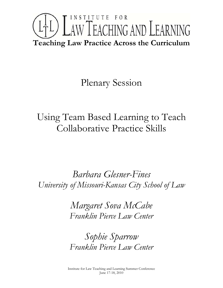

Plenary Session

# Using Team Based Learning to Teach Collaborative Practice Skills

*Barbara Glesner-Fines University of Missouri-Kansas City School of Law* 

> *Margaret Sova McCabe Franklin Pierce Law Center*

> *Sophie Sparrow Franklin Pierce Law Center*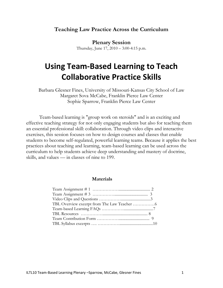# **Teaching Law Practice Across the Curriculum**

**Plenary Session** Thursday, June 17, 2010 – 3:00-4:15 p.m.

# **Using Team-Based Learning to Teach Collaborative Practice Skills**

[Barbara Glesner Fines,](http://lawteaching.org/conferences/2010/presenters/#glesnerfines) University of Missouri-Kansas City School of Law [Margaret Sova McCabe,](http://lawteaching.org/conferences/2010/presenters/#mccabe) Franklin Pierce Law Center [Sophie Sparrow,](http://lawteaching.org/conferences/2010/presenters/#sparrow) Franklin Pierce Law Center

Team-based learning is "group work on steroids" and is an exciting and effective teaching strategy for not only engaging students but also for teaching them an essential professional skill: collaboration. Through video clips and interactive exercises, this session focuses on how to design courses and classes that enable students to become self-regulated, powerful learning teams. Because it applies the best practices about teaching and learning, team-based learning can be used across the curriculum to help students achieve deep understanding and mastery of doctrine, skills, and values — in classes of nine to 199.

# **Materials**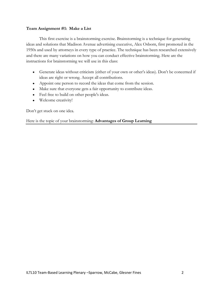#### **Team Assignment #1: Make a List**

This first exercise is a brainstorming exercise. Brainstorming is a technique for generating ideas and solutions that Madison Avenue advertising executive, Alex Osborn, first promoted in the 1950s and used by attorneys in every type of practice. The technique has been researched extensively and there are many variations on how you can conduct effective brainstorming. Here are the instructions for brainstorming we will use in this class:

- Generate ideas without criticism (either of your own or other's ideas). Don't be concerned if ideas are right or wrong. Accept all contributions.
- Appoint one person to record the ideas that come from the session.
- Make sure that everyone gets a fair opportunity to contribute ideas.
- Feel free to build on other people's ideas.
- Welcome creativity!

Don't get stuck on one idea.

Here is the topic of your brainstorming: **Advantages of Group Learning**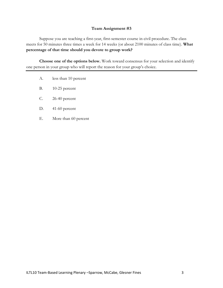#### **Team Assignment #3**

Suppose you are teaching a first-year, first-semester course in civil procedure. The class meets for 50 minutes three times a week for 14 weeks (or about 2100 minutes of class time). **What percentage of that time should you devote to group work?** 

**Choose one of the options below.** Work toward consensus for your selection and identify one person in your group who will report the reason for your group's choice.

- A. less than 10 percent
- B. 10-25 percent
- C. 26-40 percent
- D. 41-60 percent
- E. More than 60 percent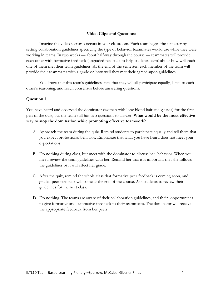#### **Video Clips and Questions**

Imagine the video scenario occurs in your classroom. Each team began the semester by setting collaboration guidelines specifying the type of behavior teammates would use while they were working in teams. In two weeks — about half-way through the course — teammates will provide each other with formative feedback (ungraded feedback to help students learn) about how well each one of them met their team guidelines. At the end of the semester, each member of the team will provide their teammates with a grade on how well they met their agreed-upon guidelines.

You know that this team's guidelines state that they will all participate equally, listen to each other's reasoning, and reach consensus before answering questions.

#### **Question 1.**

You have heard and observed the dominator (woman with long blond hair and glasses) for the first part of the quiz, but the team still has two questions to answer. **What would be the most effective way to stop the domination while promoting effective teamwork?**

- A. Approach the team during the quiz. Remind students to participate equally and tell them that you expect professional behavior. Emphasize that what you have heard does not meet your expectations.
- B. Do nothing during class, but meet with the dominator to discuss her behavior. When you meet, review the team guidelines with her. Remind her that it is important that she follows the guidelines or it will affect her grade.
- C. After the quiz, remind the whole class that formative peer feedback is coming soon, and graded peer feedback will come at the end of the course. Ask students to review their guidelines for the next class.
- D. Do nothing. The teams are aware of their collaboration guidelines, and their opportunities to give formative and summative feedback to their teammates. The dominator will receive the appropriate feedback from her peers.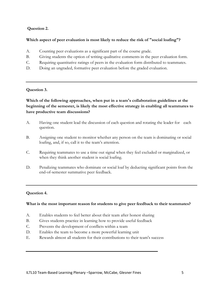### **Question 2.**

#### **Which aspect of peer evaluation is most likely to reduce the risk of "social loafing"?**

- A. Counting peer evaluations as a significant part of the course grade.
- B. Giving students the option of writing qualitative comments in the peer evaluation form.
- C. Requiring quantitative ratings of peers in the evaluation form distributed to teammates.
- D. Doing an ungraded, formative peer evaluation before the graded evaluation.

#### **Question 3.**

**Which of the following approaches, when put in a team's collaboration guidelines at the beginning of the semester, is likely the most effective strategy in enabling all teammates to have productive team discussions?** 

- A. Having one student lead the discussion of each question and rotating the leader for each question.
- B. Assigning one student to monitor whether any person on the team is dominating or social loafing, and, if so, call it to the team's attention.
- C. Requiring teammates to use a time out signal when they feel excluded or marginalized, or when they think another student is social loafing.
- D. Penalizing teammates who dominate or social loaf by deducting significant points from the end-of-semester summative peer feedback.

# **Question 4.**

#### **What is the most important reason for students to give peer feedback to their teammates?**

- A. Enables students to feel better about their team after honest sharing
- B. Gives students practice in learning how to provide useful feedback
- C. Prevents the development of conflicts within a team
- D. Enables the team to become a more powerful learning unit
- E. Rewards almost all students for their contributions to their team's success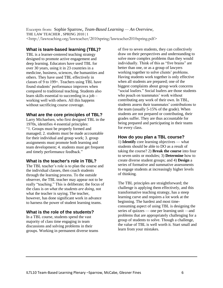Excerpts from: Sophie Sparrow, *Team-Based Learning — An Overview,* THE LAW TEACHER , SPRING 2010 | 1 <http://lawteaching.org/lawteacher/2010spring/lawteacher2010spring.pdf>

#### **What is team-based learning (TBL)?**

TBL is a learner-centered teaching strategy designed to promote active engagement and deep learning. Educators have used TBL for over 30 years, using it in 23 countries in a medicine, business, sciences, the humanities and others. They have used TBL effectively in classes of 9 to 199+. Teachers using TBL have found students' performance improves when compared to traditional teaching. Students also learn skills essential to succeeding in a job – working well with others. All this happens without sacrificing course coverage.

#### **What are the core principles of TBL?**

Larry Michaelsen, who first designed TBL in the 1970s, identifies 4 essential principles: ―1. Groups must be properly formed and managed; 2. students must be made accountable for their individual and group work; 3. group assignments must promote both learning and team development; 4. students must get frequent and timely performance feedback."

#### **What is the teacher's role in TBL?**

The TBL teacher's role is to plan the course and the individual classes, then coach students through the learning process. To the outside observer, the TBL teacher may appear not to be really "teaching." This is deliberate; the focus of the class is *on what the students are doing*, not what the teacher is saying. The teacher, however, has done significant work in advance to harness the power of student learning teams.

#### **What is the role of the students?**

In a TBL course, students spend the vast majority of class time engaging in team discussions and solving problems in their groups. Working in permanent diverse teams of five to seven students, they can collectively draw on their perspectives and understanding to solve more complex problems than they would individually. Think of this as "five brains" are better than one, or as a group of lawyers working together to solve clients' problems. Having students work together is only effective when all students are prepared; one of the biggest complaints about group work concerns ―social loafers.‖ Social loafers are those students who poach on teammates' work without contributing any work of their own. In TBL, students assess their teammates' contributions to the team (usually 5-15% of the grade). When students are not prepared or contributing, their grades suffer. They are thus accountable for being prepared and participating in their teams for every class.

#### **How do you plan a TBL course?**

1) **Identify** core learning objectives — what students should be able to DO as a result of taking the course? 2) **Break the course** into four to seven units or modules; 3) **Determine** how to create diverse student groups; and 4) **Design** a series of formative and summative assessments to engage students at increasingly higher levels of thinking.

The TBL principles are straightforward; the challenge is applying them effectively, and this transformative teaching strategy, has a steep learning curve and requires a lot work at the beginning. The hardest and most timeconsuming aspect of using TBL is designing the series of quizzes — one per learning unit —and problems that are appropriately challenging for a group of students to solve. Though a challenge, the value of TBL is well worth it. Start small and learn from your mistakes.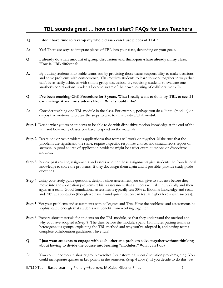#### **Q: I don't have time to revamp my whole class - can I use pieces of TBL?**

A: Yes! There are ways to integrate pieces of TBL into your class, depending on your goals.

#### **Q: I already do a fair amount of group discussion and think-pair-share already in my class. How is TBL different?**

**A.** By putting students into stable teams and by providing those teams responsibility to make decisions and solve problems with consequence, TBL requires students to learn to work together in ways that can't be as easily achieved with simple group discussion. By requiring students to evaluate one another's contributions, students become aware of their own learning of collaborative skills.

#### **Q. I've been teaching Civil Procedure for 8 years. What I really want to do is try TBL to see if I can manage it and my students like it. What should I do?**

- A: Consider teaching one TBL module in the class. For example, perhaps you do a "unit" (module) on dispositive motions. Here are the steps to take to turn it into a TBL module:
- **Step 1** Decide what you want students to be able to do with dispositive motion knowledge at the end of the unit and how many classes you have to spend on the materials.
- **Step 2** Create one or two problems (applications) that teams will work on together. Make sure that the problems are significant, the same, require a specific response/choice, and simultaneous report of answers. A good source of application problems might be earlier exam questions on dispositive motions.
- **Step 3** Review past reading assignments and assess whether these assignments give students the foundational knowledge to solve the problems. If they do, assign them again and if possible, provide study guide questions.
- **Step 4** Using your study guide questions, design a short assessment you can give to students before they move into the application problems. This is assessment that students will take individually and then again as a team. Good foundational assessments typically test 30% at Bloom's knowledge and recall and 70% at application (though we have found quiz question can test at higher levels with success).
- **Step 5** Vet your problems and assessments with colleagues and TAs. Have the problems and assessments be sophisticated enough that students will benefit from working together.
- **Step 6** Prepare short materials for students on the TBL module, so that they understand the method and why you have adopted it.**Step 7** The class before the module, spend 15-minutes putting teams in heterogeneous groups, explaining the TBL method and why you've adopted it, and having teams complete collaboration guidelines. Have fun!

#### **Q: I just want students to engage with each other and problem solve together without thinking about having to divide the course into learning "modules." What can I do?**

A: You could incorporate shorter group exercises (brainstorming, short discussion problems, etc.). You could incorporate quizzes at key points in the semester. (Step 4 above). If you decide to do this, we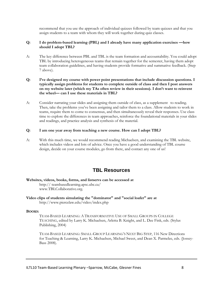recommend that you use the approach of individual quizzes followed by team quizzes and that you assign students to a team with whom they will work together during quiz classes.

#### **Q: I do problem-based learning (PBL) and I already have many application exercises —how should I adopt TBL?**

A: The key difference between PBL and TBL is the team formation and accountability. You could adopt TBL by introducing heterogeneous teams that remain together for the semester, having them adopt team collaboration guidelines, and having students provide formative and summative feedback. (Step 7 above).

#### **Q: I've designed my course with power point presentations that include discussion questions. I typically assign problems for students to complete outside of class and then I post answers on my website later (which my TAs often review in their sessions). I don't want to reinvent the wheel— can I use these materials in TBL?**

A: Consider narrating your slides and assigning them outside of class, as a supplement to reading. Then, take the problems you've been assigning and tailor them to a class. Allow students to work in teams, require them to come to consensus, and then simultaneously reveal their responses. Use class time to explore the differences in team approaches, reinforce the foundational materials in your slides and readings, and practice analysis and synthesis of the material.

#### **Q: I am one year away from teaching a new course. How can I adopt TBL?**

A: With this much time, we would recommend reading Michaelsen, and examining the TBL website, which includes videos and lots of advice. Once you have a good understanding of TBL course design, decide on your course modules, go from there, and contact any one of us!

# **TBL Resources**

# **Websites, videos, books, forms, and listservs can be accessed at**

http:// teambasedlearning.apsc.ubc.ca/ www.TBLCollaborative.org.

#### **Video clips of students simulating the "dominator" and "social loafer" are at**

http://www.piercelaw.edu/video/index.php

#### **BOOKS:**

TEAM-BASED LEARNING: A TRANSFORMATIVE USE OF SMALL GROUPS IN COLLEGE TEACHING, edited by Larry K. Michaelsen, Arletta B. Knight, and L. Dee Fink, eds. (Stylus Publishing, 2004)

TEAM-BASED LEARNING: SMALL-GROUP LEARNING'S NEXT BIG STEP, 116 New Directions for Teaching & Learning, Larry K. Michaelsen, Michael Sweet, and Dean X. Parmelee, eds. (Jossey-Bass 2008).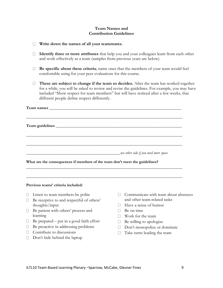#### **Team Names and Contribution Guidelines**

- **Write down the names of all your teammates.**
- **Identify three or more attributes** that help you and your colleagues learn from each other  $\Box$ and work effectively as a team (samples from previous years are below).
- **Be specific about these criteria**; name ones that the members of your team would feel comfortable using for your peer evaluations for this course.
- $\Box$ **These are subject to change if the team so decides.** After the team has worked together for a while, you will be asked to review and revise the guidelines. For example, you may have included "Show respect for team members" but will have noticed after a few weeks, that different people define respect differently.

| _use other side if you need more space<br>What are the consequences if members of the team don't meet the guidelines? |
|-----------------------------------------------------------------------------------------------------------------------|

\_\_\_\_\_\_\_\_\_\_\_\_\_\_\_\_\_\_\_\_\_\_\_\_\_\_\_\_\_\_\_\_\_\_\_\_\_\_\_\_\_\_\_\_\_\_\_\_\_\_\_\_\_\_\_\_\_\_\_\_\_\_\_\_\_\_\_\_\_\_\_\_\_\_\_\_\_\_

**Previous teams' criteria included:**

- $\Box$  Listen to team members-be polite
- $\Box$  Be receptive to and respectful of others' thoughts/input
- □ Be patient with others' process and learning
- $\Box$  Be prepared put in a good faith effort
- $\Box$  Be proactive in addressing problems
- $\Box$  Contribute to discussions
- $\Box$  Don't hide behind the laptop
- $\Box$  Communicate with team about absences and other team-related tasks
- Have a sense of humor
- $\Box$  Be on time
- □ Work for the team
- Be willing to apologize  $\Box$
- $\Box$ Don't monopolize or dominate
- Take turns leading the team $\Box$